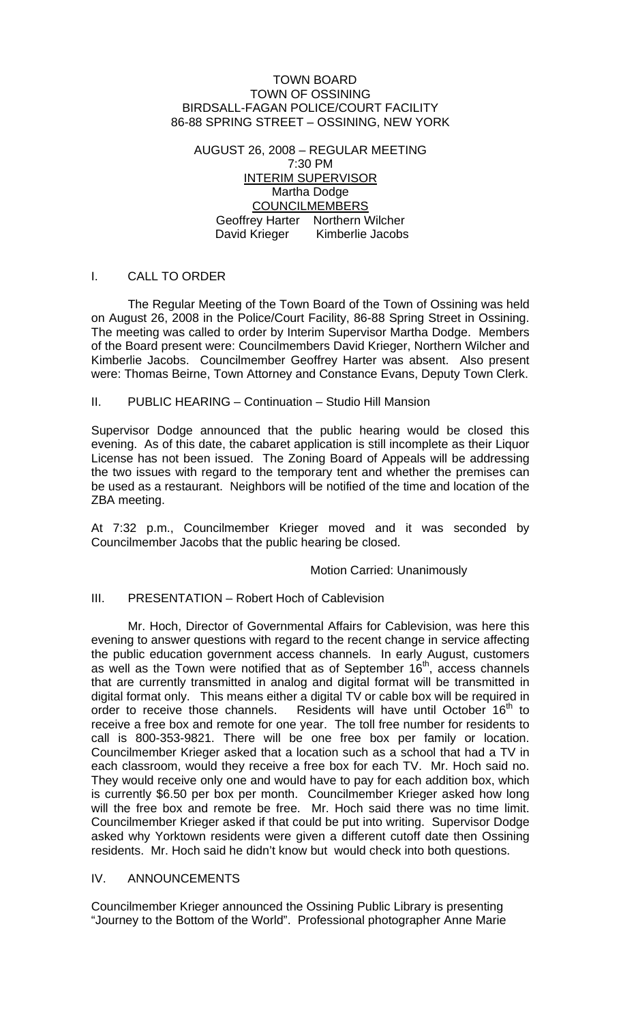#### TOWN BOARD TOWN OF OSSINING BIRDSALL-FAGAN POLICE/COURT FACILITY 86-88 SPRING STREET – OSSINING, NEW YORK

AUGUST 26, 2008 – REGULAR MEETING 7:30 PM INTERIM SUPERVISOR Martha Dodge COUNCILMEMBERS Geoffrey Harter Northern Wilcher David Krieger Kimberlie Jacobs

### I. CALL TO ORDER

 The Regular Meeting of the Town Board of the Town of Ossining was held on August 26, 2008 in the Police/Court Facility, 86-88 Spring Street in Ossining. The meeting was called to order by Interim Supervisor Martha Dodge. Members of the Board present were: Councilmembers David Krieger, Northern Wilcher and Kimberlie Jacobs. Councilmember Geoffrey Harter was absent. Also present were: Thomas Beirne, Town Attorney and Constance Evans, Deputy Town Clerk.

#### II. PUBLIC HEARING – Continuation – Studio Hill Mansion

Supervisor Dodge announced that the public hearing would be closed this evening. As of this date, the cabaret application is still incomplete as their Liquor License has not been issued. The Zoning Board of Appeals will be addressing the two issues with regard to the temporary tent and whether the premises can be used as a restaurant. Neighbors will be notified of the time and location of the ZBA meeting.

At 7:32 p.m., Councilmember Krieger moved and it was seconded by Councilmember Jacobs that the public hearing be closed.

#### Motion Carried: Unanimously

## III. PRESENTATION – Robert Hoch of Cablevision

 Mr. Hoch, Director of Governmental Affairs for Cablevision, was here this evening to answer questions with regard to the recent change in service affecting the public education government access channels. In early August, customers as well as the Town were notified that as of September  $16<sup>th</sup>$ , access channels that are currently transmitted in analog and digital format will be transmitted in digital format only. This means either a digital TV or cable box will be required in order to receive those channels. Residents will have until October  $16<sup>th</sup>$  to receive a free box and remote for one year. The toll free number for residents to call is 800-353-9821. There will be one free box per family or location. Councilmember Krieger asked that a location such as a school that had a TV in each classroom, would they receive a free box for each TV. Mr. Hoch said no. They would receive only one and would have to pay for each addition box, which is currently \$6.50 per box per month. Councilmember Krieger asked how long will the free box and remote be free. Mr. Hoch said there was no time limit. Councilmember Krieger asked if that could be put into writing. Supervisor Dodge asked why Yorktown residents were given a different cutoff date then Ossining residents. Mr. Hoch said he didn't know but would check into both questions.

# IV. ANNOUNCEMENTS

Councilmember Krieger announced the Ossining Public Library is presenting "Journey to the Bottom of the World". Professional photographer Anne Marie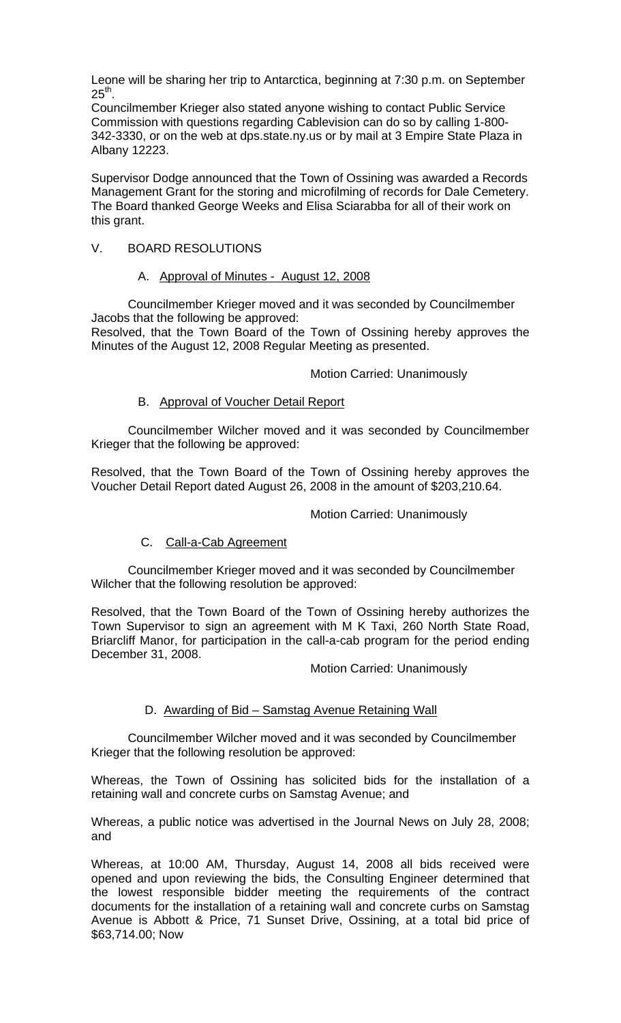Leone will be sharing her trip to Antarctica, beginning at 7:30 p.m. on September  $25<sup>th</sup>$ .

Councilmember Krieger also stated anyone wishing to contact Public Service Commission with questions regarding Cablevision can do so by calling 1-800- 342-3330, or on the web at dps.state.ny.us or by mail at 3 Empire State Plaza in Albany 12223.

Supervisor Dodge announced that the Town of Ossining was awarded a Records Management Grant for the storing and microfilming of records for Dale Cemetery. The Board thanked George Weeks and Elisa Sciarabba for all of their work on this grant.

### V. BOARD RESOLUTIONS

#### A. Approval of Minutes - August 12, 2008

 Councilmember Krieger moved and it was seconded by Councilmember Jacobs that the following be approved: Resolved, that the Town Board of the Town of Ossining hereby approves the Minutes of the August 12, 2008 Regular Meeting as presented.

Motion Carried: Unanimously

#### B. Approval of Voucher Detail Report

 Councilmember Wilcher moved and it was seconded by Councilmember Krieger that the following be approved:

Resolved, that the Town Board of the Town of Ossining hereby approves the Voucher Detail Report dated August 26, 2008 in the amount of \$203,210.64.

#### Motion Carried: Unanimously

#### C. Call-a-Cab Agreement

Councilmember Krieger moved and it was seconded by Councilmember Wilcher that the following resolution be approved:

Resolved, that the Town Board of the Town of Ossining hereby authorizes the Town Supervisor to sign an agreement with M K Taxi, 260 North State Road, Briarcliff Manor, for participation in the call-a-cab program for the period ending December 31, 2008.

Motion Carried: Unanimously

#### D. Awarding of Bid – Samstag Avenue Retaining Wall

 Councilmember Wilcher moved and it was seconded by Councilmember Krieger that the following resolution be approved:

Whereas, the Town of Ossining has solicited bids for the installation of a retaining wall and concrete curbs on Samstag Avenue; and

Whereas, a public notice was advertised in the Journal News on July 28, 2008; and

Whereas, at 10:00 AM, Thursday, August 14, 2008 all bids received were opened and upon reviewing the bids, the Consulting Engineer determined that the lowest responsible bidder meeting the requirements of the contract documents for the installation of a retaining wall and concrete curbs on Samstag Avenue is Abbott & Price, 71 Sunset Drive, Ossining, at a total bid price of \$63,714.00; Now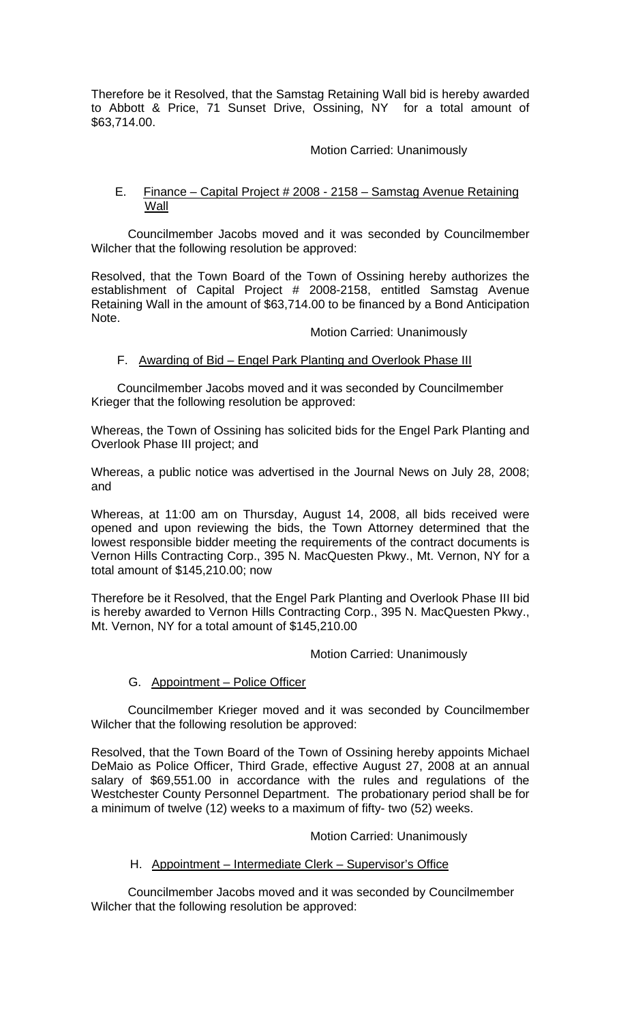Therefore be it Resolved, that the Samstag Retaining Wall bid is hereby awarded to Abbott & Price, 71 Sunset Drive, Ossining, NY for a total amount of \$63,714.00.

## Motion Carried: Unanimously

### E. Finance – Capital Project # 2008 - 2158 – Samstag Avenue Retaining Wall

 Councilmember Jacobs moved and it was seconded by Councilmember Wilcher that the following resolution be approved:

Resolved, that the Town Board of the Town of Ossining hereby authorizes the establishment of Capital Project # 2008-2158, entitled Samstag Avenue Retaining Wall in the amount of \$63,714.00 to be financed by a Bond Anticipation Note.

#### Motion Carried: Unanimously

### F. Awarding of Bid – Engel Park Planting and Overlook Phase III

Councilmember Jacobs moved and it was seconded by Councilmember Krieger that the following resolution be approved:

Whereas, the Town of Ossining has solicited bids for the Engel Park Planting and Overlook Phase III project; and

Whereas, a public notice was advertised in the Journal News on July 28, 2008; and

Whereas, at 11:00 am on Thursday, August 14, 2008, all bids received were opened and upon reviewing the bids, the Town Attorney determined that the lowest responsible bidder meeting the requirements of the contract documents is Vernon Hills Contracting Corp., 395 N. MacQuesten Pkwy., Mt. Vernon, NY for a total amount of \$145,210.00; now

Therefore be it Resolved, that the Engel Park Planting and Overlook Phase III bid is hereby awarded to Vernon Hills Contracting Corp., 395 N. MacQuesten Pkwy., Mt. Vernon, NY for a total amount of \$145,210.00

#### Motion Carried: Unanimously

#### G. Appointment – Police Officer

 Councilmember Krieger moved and it was seconded by Councilmember Wilcher that the following resolution be approved:

Resolved, that the Town Board of the Town of Ossining hereby appoints Michael DeMaio as Police Officer, Third Grade, effective August 27, 2008 at an annual salary of \$69,551.00 in accordance with the rules and regulations of the Westchester County Personnel Department. The probationary period shall be for a minimum of twelve (12) weeks to a maximum of fifty- two (52) weeks.

#### Motion Carried: Unanimously

## H. Appointment – Intermediate Clerk – Supervisor's Office

Councilmember Jacobs moved and it was seconded by Councilmember Wilcher that the following resolution be approved: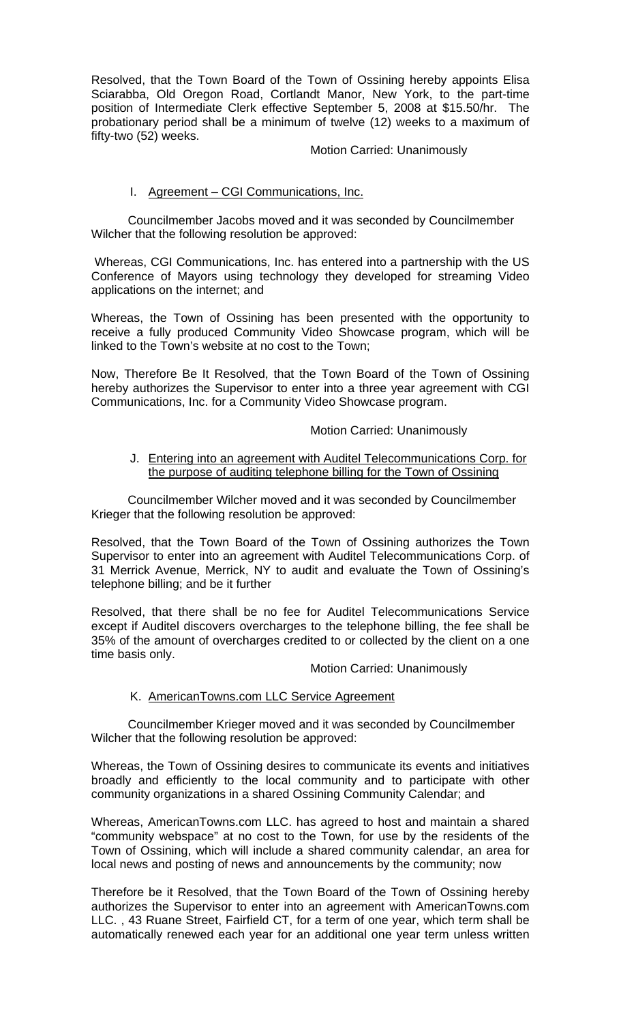Resolved, that the Town Board of the Town of Ossining hereby appoints Elisa Sciarabba, Old Oregon Road, Cortlandt Manor, New York, to the part-time position of Intermediate Clerk effective September 5, 2008 at \$15.50/hr. The probationary period shall be a minimum of twelve (12) weeks to a maximum of fifty-two (52) weeks.

#### Motion Carried: Unanimously

### I. Agreement – CGI Communications, Inc.

Councilmember Jacobs moved and it was seconded by Councilmember Wilcher that the following resolution be approved:

 Whereas, CGI Communications, Inc. has entered into a partnership with the US Conference of Mayors using technology they developed for streaming Video applications on the internet; and

Whereas, the Town of Ossining has been presented with the opportunity to receive a fully produced Community Video Showcase program, which will be linked to the Town's website at no cost to the Town;

Now, Therefore Be It Resolved, that the Town Board of the Town of Ossining hereby authorizes the Supervisor to enter into a three year agreement with CGI Communications, Inc. for a Community Video Showcase program.

#### Motion Carried: Unanimously

#### J. Entering into an agreement with Auditel Telecommunications Corp. for the purpose of auditing telephone billing for the Town of Ossining

Councilmember Wilcher moved and it was seconded by Councilmember Krieger that the following resolution be approved:

Resolved, that the Town Board of the Town of Ossining authorizes the Town Supervisor to enter into an agreement with Auditel Telecommunications Corp. of 31 Merrick Avenue, Merrick, NY to audit and evaluate the Town of Ossining's telephone billing; and be it further

Resolved, that there shall be no fee for Auditel Telecommunications Service except if Auditel discovers overcharges to the telephone billing, the fee shall be 35% of the amount of overcharges credited to or collected by the client on a one time basis only.

Motion Carried: Unanimously

#### K. AmericanTowns.com LLC Service Agreement

Councilmember Krieger moved and it was seconded by Councilmember Wilcher that the following resolution be approved:

Whereas, the Town of Ossining desires to communicate its events and initiatives broadly and efficiently to the local community and to participate with other community organizations in a shared Ossining Community Calendar; and

Whereas, AmericanTowns.com LLC. has agreed to host and maintain a shared "community webspace" at no cost to the Town, for use by the residents of the Town of Ossining, which will include a shared community calendar, an area for local news and posting of news and announcements by the community; now

Therefore be it Resolved, that the Town Board of the Town of Ossining hereby authorizes the Supervisor to enter into an agreement with AmericanTowns.com LLC. , 43 Ruane Street, Fairfield CT, for a term of one year, which term shall be automatically renewed each year for an additional one year term unless written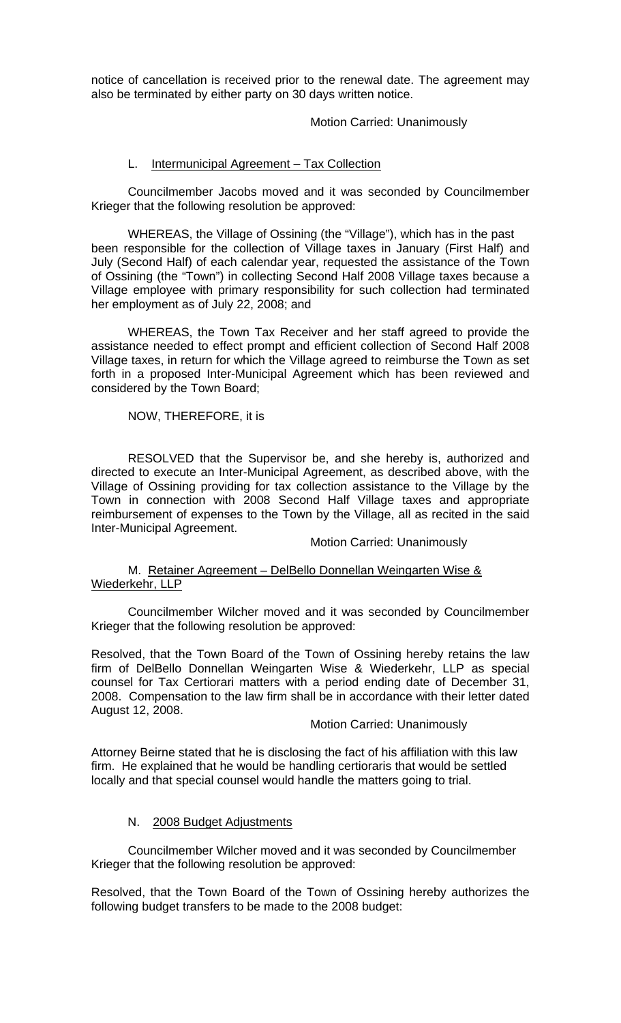notice of cancellation is received prior to the renewal date. The agreement may also be terminated by either party on 30 days written notice.

### Motion Carried: Unanimously

### L. Intermunicipal Agreement – Tax Collection

 Councilmember Jacobs moved and it was seconded by Councilmember Krieger that the following resolution be approved:

WHEREAS, the Village of Ossining (the "Village"), which has in the past been responsible for the collection of Village taxes in January (First Half) and July (Second Half) of each calendar year, requested the assistance of the Town of Ossining (the "Town") in collecting Second Half 2008 Village taxes because a Village employee with primary responsibility for such collection had terminated her employment as of July 22, 2008; and

 WHEREAS, the Town Tax Receiver and her staff agreed to provide the assistance needed to effect prompt and efficient collection of Second Half 2008 Village taxes, in return for which the Village agreed to reimburse the Town as set forth in a proposed Inter-Municipal Agreement which has been reviewed and considered by the Town Board;

NOW, THEREFORE, it is

 RESOLVED that the Supervisor be, and she hereby is, authorized and directed to execute an Inter-Municipal Agreement, as described above, with the Village of Ossining providing for tax collection assistance to the Village by the Town in connection with 2008 Second Half Village taxes and appropriate reimbursement of expenses to the Town by the Village, all as recited in the said Inter-Municipal Agreement.

Motion Carried: Unanimously

### M. Retainer Agreement – DelBello Donnellan Weingarten Wise & Wiederkehr, LLP

 Councilmember Wilcher moved and it was seconded by Councilmember Krieger that the following resolution be approved:

Resolved, that the Town Board of the Town of Ossining hereby retains the law firm of DelBello Donnellan Weingarten Wise & Wiederkehr, LLP as special counsel for Tax Certiorari matters with a period ending date of December 31, 2008. Compensation to the law firm shall be in accordance with their letter dated August 12, 2008.

#### Motion Carried: Unanimously

Attorney Beirne stated that he is disclosing the fact of his affiliation with this law firm. He explained that he would be handling certioraris that would be settled locally and that special counsel would handle the matters going to trial.

#### N. 2008 Budget Adjustments

Councilmember Wilcher moved and it was seconded by Councilmember Krieger that the following resolution be approved:

Resolved, that the Town Board of the Town of Ossining hereby authorizes the following budget transfers to be made to the 2008 budget: